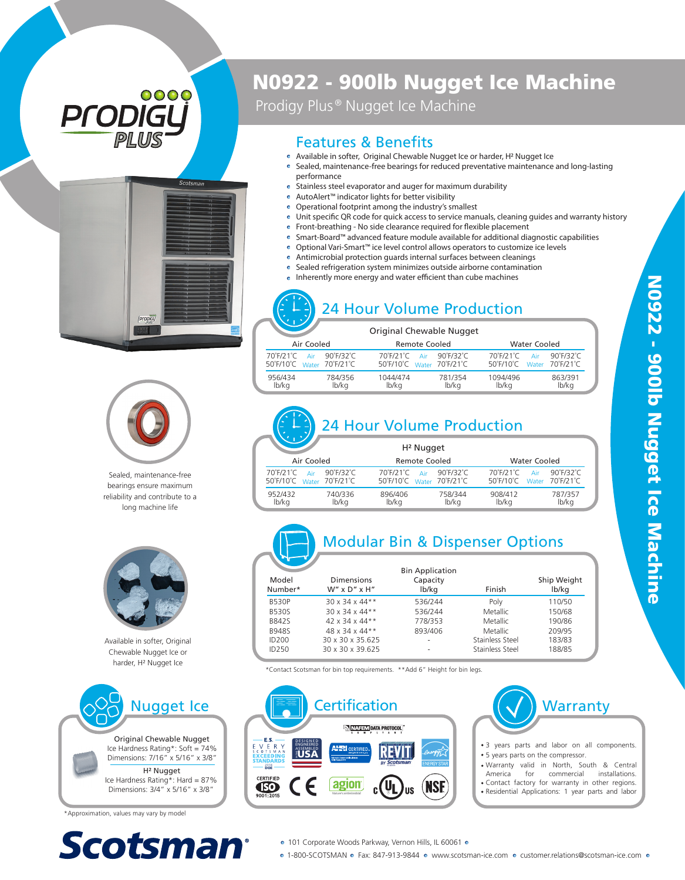





Sealed, maintenance-free bearings ensure maximum reliability and contribute to a long machine life



Available in softer, Original Chewable Nugget Ice or harder, H ² Nugget Ice



\*Approximation, values may vary by model



## N0922 - 900lb Nugget Ice Machine

Prodigy Plus<sup>®</sup> Nugget Ice Machine

#### Features & Benefits

- Available in softer, Original Chewable Nugget Ice or harder, H 2 Nugget Ice
- Sealed, maintenance-free bearings for reduced preventative maintenance and long-lasting performance
- Stainless steel evaporator and auger for maximum durability
- AutoAlert™ indicator lights for better visibility
- Operational footprint among the industry's smallest
	- Unit specific QR code for quick access to service manuals, cleaning guides and warranty history
- $\bullet$  Front-breathing No side clearance required for flexible placement
- Smart-Board™ advanced feature module available for additional diagnostic capabilities
- Optional Vari-Smart™ ice level control allows operators to customize ice levels
- Antimicrobial protection guards internal surfaces between cleanings  $\bullet$
- Sealed refrigeration system minimizes outside airborne contamination  $\bullet$
- $\bullet$  Inherently more energy and water efficient than cube machines

### 24 Hour Volume Production

|  |                                               |                  | Original Chewable Nugget                      |                  |                                               |                            |
|--|-----------------------------------------------|------------------|-----------------------------------------------|------------------|-----------------------------------------------|----------------------------|
|  | Air Cooled                                    |                  | <b>Remote Cooled</b>                          |                  | <b>Water Cooled</b>                           |                            |
|  | 70°F/21°C<br>Air<br>50°F/10°C Water 70°F/21°C | 90°F/32°C        | 70°F/21°C<br>Air<br>50°F/10°C Water 70°F/21°C | 90°F/32°C        | 70°F/21°C<br>Air<br>50°F/10°C Water 70°F/21°C | $90^\circ$ F/32 $^\circ$ C |
|  | 956/434<br>lb/kg                              | 784/356<br>lb/ka | 1044/474<br>lb/kg                             | 781/354<br>lb/ka | 1094/496<br>lb/ka                             | 863/391<br>lb/kg           |

# 24 Hour Volume Production

|                                               |                            | H <sup>2</sup> Nugget                         |                            |                                             |              |                                               |
|-----------------------------------------------|----------------------------|-----------------------------------------------|----------------------------|---------------------------------------------|--------------|-----------------------------------------------|
| Air Cooled                                    |                            | <b>Remote Cooled</b>                          |                            |                                             | Water Cooled |                                               |
| 70°F/21°C<br>Air<br>50°F/10°C Water 70°F/21°C | $90^\circ$ F/32 $^\circ$ C | 70°F/21°C<br>Δir<br>50°F/10°C Water 70°F/21°C | $90^\circ$ F/32 $^\circ$ C | 70°F/21°C<br>$50^{\circ}$ F/10 $^{\circ}$ C | Air          | $90^\circ$ F/32 $^\circ$ C<br>Water 70°F/21°C |
| 952/432<br>lb/kg                              | 740/336<br>lb/kg           | 896/406<br>lb/kg                              | 758/344<br>lb/ka           | 908/412<br>lb/ka                            |              | 787/357<br>lb/kg                              |

# Modular Bin & Dispenser Options

| Model<br>Number*  | <b>Dimensions</b><br>$W''$ x $D''$ x $H''$ | <b>Bin Application</b><br>Capacity<br>lb/kg | Finish          | Ship Weight<br>lb/kg |
|-------------------|--------------------------------------------|---------------------------------------------|-----------------|----------------------|
| <b>B530P</b>      | $30 \times 34 \times 44**$                 | 536/244                                     | Poly            | 110/50               |
| <b>B530S</b>      | $30 \times 34 \times 44**$                 | 536/244                                     | Metallic        | 150/68               |
| <b>B842S</b>      | $42 \times 34 \times 44**$                 | 778/353                                     | Metallic        | 190/86               |
| <b>B948S</b>      | 48 x 34 x 44**                             | 893/406                                     | Metallic        | 209/95               |
| ID200             | 30 x 30 x 35.625                           | ۰                                           | Stainless Steel | 183/83               |
| ID <sub>250</sub> | 30 x 30 x 39.625                           |                                             | Stainless Steel | 188/85               |

\*Contact Scotsman for bin top requirements. \*\*Add 6" Height for bin legs.



· 1-800-SCOTSMAN · Fax: 847-913-9844 · www.scotsman-ice.com · customer.relations@scotsman-ice.com ·